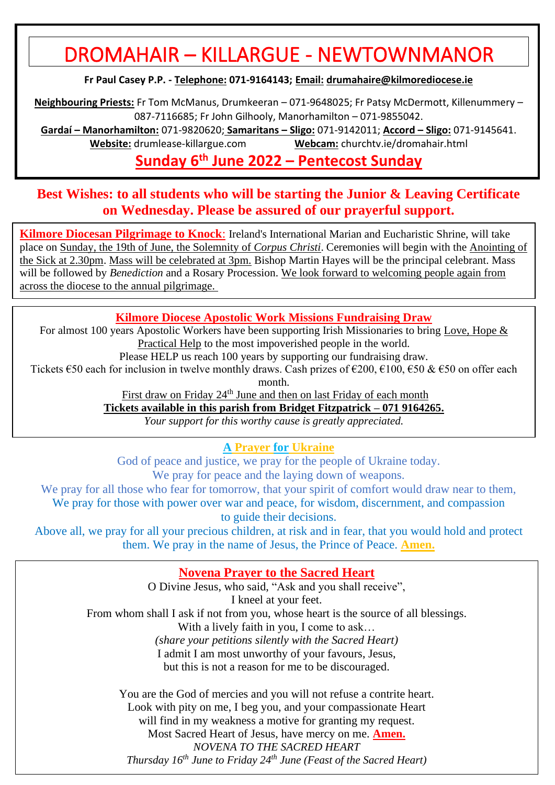# DROMAHAIR – KILLARGUE - NEWTOWNMANOR

**Fr Paul Casey P.P. - Telephone: 071-9164143; Email: [drumahaire@kilmorediocese.ie](about:blank)**

**Neighbouring Priests:** Fr Tom McManus, Drumkeeran – 071-9648025; Fr Patsy McDermott, Killenummery – 087-7116685; Fr John Gilhooly, Manorhamilton – 071-9855042.

**Gardaí – Manorhamilton:** 071-9820620; **Samaritans – Sligo:** 071-9142011; **Accord – Sligo:** 071-9145641. **Website:** drumlease-killargue.com **Webcam:** churchtv.ie/dromahair.html

# **Sunday 6 th June 2022 – Pentecost Sunday**

## **Best Wishes: to all students who will be starting the Junior & Leaving Certificate on Wednesday. Please be assured of our prayerful support.**

**Kilmore Diocesan Pilgrimage to Knock**: Ireland's International Marian and Eucharistic Shrine, will take place on Sunday, the 19th of June, the Solemnity of *Corpus Christi*. Ceremonies will begin with the Anointing of the Sick at 2.30pm. Mass will be celebrated at 3pm. Bishop Martin Hayes will be the principal celebrant. Mass will be followed by *Benediction* and a Rosary Procession. We look forward to welcoming people again from across the diocese to the annual pilgrimage.

## **Kilmore Diocese Apostolic Work Missions Fundraising Draw**

For almost 100 years Apostolic Workers have been supporting Irish Missionaries to bring Love, Hope & Practical Help to the most impoverished people in the world.

Please HELP us reach 100 years by supporting our fundraising draw.

Tickets  $\epsilon$ 50 each for inclusion in twelve monthly draws. Cash prizes of  $\epsilon$ 200,  $\epsilon$ 100,  $\epsilon$ 50 &  $\epsilon$ 50 on offer each month.

First draw on Friday 24<sup>th</sup> June and then on last Friday of each month

**Tickets available in this parish from Bridget Fitzpatrick – 071 9164265.**

*Your support for this worthy cause is greatly appreciated.*

**A Prayer for Ukraine**

God of peace and justice, we pray for the people of Ukraine today. We pray for peace and the laying down of weapons.

We pray for all those who fear for tomorrow, that your spirit of comfort would draw near to them.

We pray for those with power over war and peace, for wisdom, discernment, and compassion to guide their decisions.

Above all, we pray for all your precious children, at risk and in fear, that you would hold and protect them. We pray in the name of Jesus, the Prince of Peace. **Amen.**

## **Novena Prayer to the Sacred Heart**

O Divine Jesus, who said, "Ask and you shall receive", I kneel at your feet. From whom shall I ask if not from you, whose heart is the source of all blessings. With a lively faith in you, I come to ask... *(share your petitions silently with the Sacred Heart)* I admit I am most unworthy of your favours, Jesus, but this is not a reason for me to be discouraged. You are the God of mercies and you will not refuse a contrite heart. Look with pity on me, I beg you, and your compassionate Heart

will find in my weakness a motive for granting my request.

Most Sacred Heart of Jesus, have mercy on me. **Amen.**

*NOVENA TO THE SACRED HEART* 

*Thursday 16th June to Friday 24th June (Feast of the Sacred Heart)*